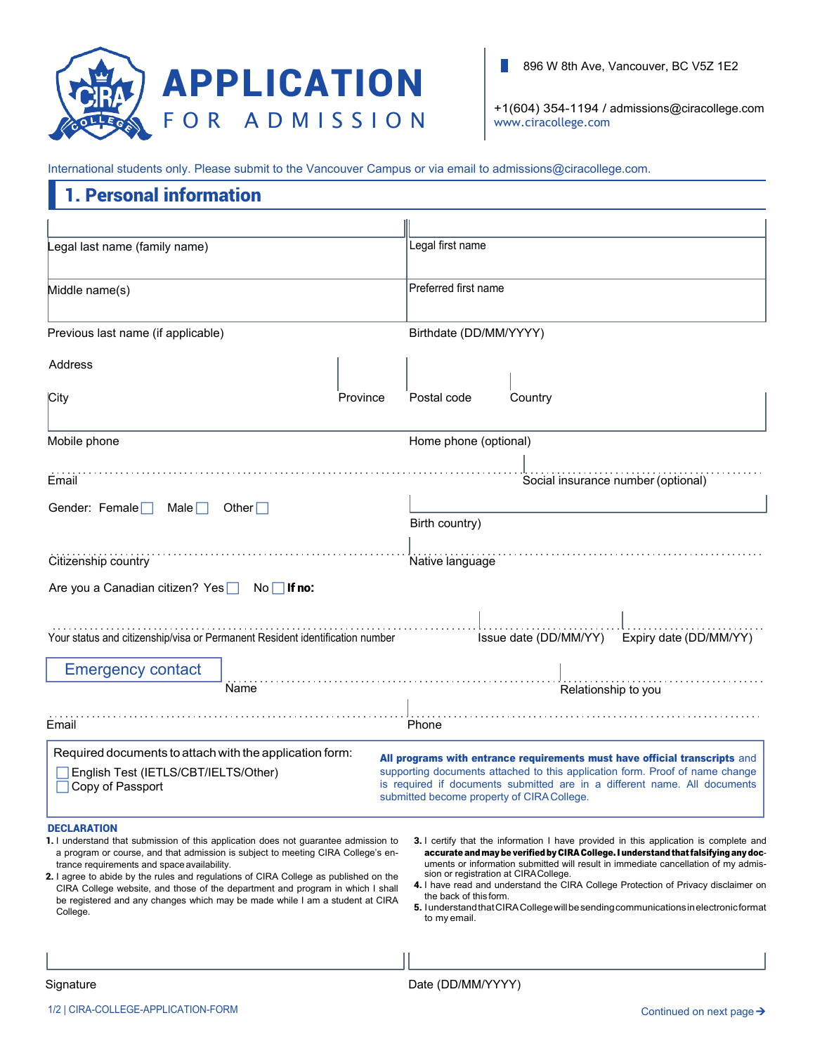

H. 896 W 8th Ave, Vancouver, BC V5Z 1E2

+1(604) 354-1194 / [admissions@ciracollege.com](mailto:admissions@ciracollege.com) [www.ciracollege.com](http://www.ciracollege.com/)

International students only. Please submit to the Vancouver Campus or via email to admissions@ciracollege.com.

## 1. Personal information

| egal last name (family name)                                                                                                                                                                                                                                                                                                                                                                                                                                                                        |                 | Legal first name                                                               |                                    |                                                                                                                                                                                                                                                                                                                                                                                                                                                          |  |
|-----------------------------------------------------------------------------------------------------------------------------------------------------------------------------------------------------------------------------------------------------------------------------------------------------------------------------------------------------------------------------------------------------------------------------------------------------------------------------------------------------|-----------------|--------------------------------------------------------------------------------|------------------------------------|----------------------------------------------------------------------------------------------------------------------------------------------------------------------------------------------------------------------------------------------------------------------------------------------------------------------------------------------------------------------------------------------------------------------------------------------------------|--|
| Middle name(s)                                                                                                                                                                                                                                                                                                                                                                                                                                                                                      |                 | Preferred first name                                                           |                                    |                                                                                                                                                                                                                                                                                                                                                                                                                                                          |  |
| Previous last name (if applicable)                                                                                                                                                                                                                                                                                                                                                                                                                                                                  |                 | Birthdate (DD/MM/YYYY)                                                         |                                    |                                                                                                                                                                                                                                                                                                                                                                                                                                                          |  |
| Address                                                                                                                                                                                                                                                                                                                                                                                                                                                                                             |                 |                                                                                |                                    |                                                                                                                                                                                                                                                                                                                                                                                                                                                          |  |
| City                                                                                                                                                                                                                                                                                                                                                                                                                                                                                                | <b>Province</b> | Postal code                                                                    | Country                            |                                                                                                                                                                                                                                                                                                                                                                                                                                                          |  |
| Mobile phone                                                                                                                                                                                                                                                                                                                                                                                                                                                                                        |                 | Home phone (optional)                                                          |                                    |                                                                                                                                                                                                                                                                                                                                                                                                                                                          |  |
| Email                                                                                                                                                                                                                                                                                                                                                                                                                                                                                               |                 |                                                                                | Social insurance number (optional) |                                                                                                                                                                                                                                                                                                                                                                                                                                                          |  |
| Gender: Female $\Box$<br>Male $\Box$<br>Other $\Box$                                                                                                                                                                                                                                                                                                                                                                                                                                                |                 | Birth country)                                                                 |                                    |                                                                                                                                                                                                                                                                                                                                                                                                                                                          |  |
| Citizenship country                                                                                                                                                                                                                                                                                                                                                                                                                                                                                 |                 | Native language                                                                |                                    |                                                                                                                                                                                                                                                                                                                                                                                                                                                          |  |
| Are you a Canadian citizen? Yes<br>$No \Box$ If no:                                                                                                                                                                                                                                                                                                                                                                                                                                                 |                 |                                                                                |                                    |                                                                                                                                                                                                                                                                                                                                                                                                                                                          |  |
| Your status and citizenship/visa or Permanent Resident identification number                                                                                                                                                                                                                                                                                                                                                                                                                        |                 |                                                                                | Issue date (DD/MM/YY)              | Expiry date (DD/MM/YY)                                                                                                                                                                                                                                                                                                                                                                                                                                   |  |
| <b>Emergency contact</b>                                                                                                                                                                                                                                                                                                                                                                                                                                                                            |                 |                                                                                |                                    |                                                                                                                                                                                                                                                                                                                                                                                                                                                          |  |
| Name                                                                                                                                                                                                                                                                                                                                                                                                                                                                                                |                 |                                                                                | Relationship to you                |                                                                                                                                                                                                                                                                                                                                                                                                                                                          |  |
| Email                                                                                                                                                                                                                                                                                                                                                                                                                                                                                               |                 | Phone                                                                          |                                    |                                                                                                                                                                                                                                                                                                                                                                                                                                                          |  |
| Required documents to attach with the application form:                                                                                                                                                                                                                                                                                                                                                                                                                                             |                 |                                                                                |                                    | All programs with entrance requirements must have official transcripts and                                                                                                                                                                                                                                                                                                                                                                               |  |
| English Test (IETLS/CBT/IELTS/Other)<br>Copy of Passport                                                                                                                                                                                                                                                                                                                                                                                                                                            |                 | submitted become property of CIRA College.                                     |                                    | supporting documents attached to this application form. Proof of name change<br>is required if documents submitted are in a different name. All documents                                                                                                                                                                                                                                                                                                |  |
| <b>DECLARATION</b>                                                                                                                                                                                                                                                                                                                                                                                                                                                                                  |                 |                                                                                |                                    |                                                                                                                                                                                                                                                                                                                                                                                                                                                          |  |
| <b>1.</b> I understand that submission of this application does not guarantee admission to<br>a program or course, and that admission is subject to meeting CIRA College's en-<br>trance requirements and space availability.<br>2. I agree to abide by the rules and regulations of CIRA College as published on the<br>CIRA College website, and those of the department and program in which I shall<br>be registered and any changes which may be made while I am a student at CIRA<br>College. |                 | sion or registration at CIRACollege.<br>the back of this form.<br>to my email. |                                    | <b>3.</b> I certify that the information I have provided in this application is complete and<br>accurate and may be verified by CIRA College. I understand that falsifying any doc-<br>uments or information submitted will result in immediate cancellation of my admis-<br>4. I have read and understand the CIRA College Protection of Privacy disclaimer on<br>5. I understand that CIRA College will be sending communications in electronic format |  |
|                                                                                                                                                                                                                                                                                                                                                                                                                                                                                                     |                 |                                                                                |                                    |                                                                                                                                                                                                                                                                                                                                                                                                                                                          |  |